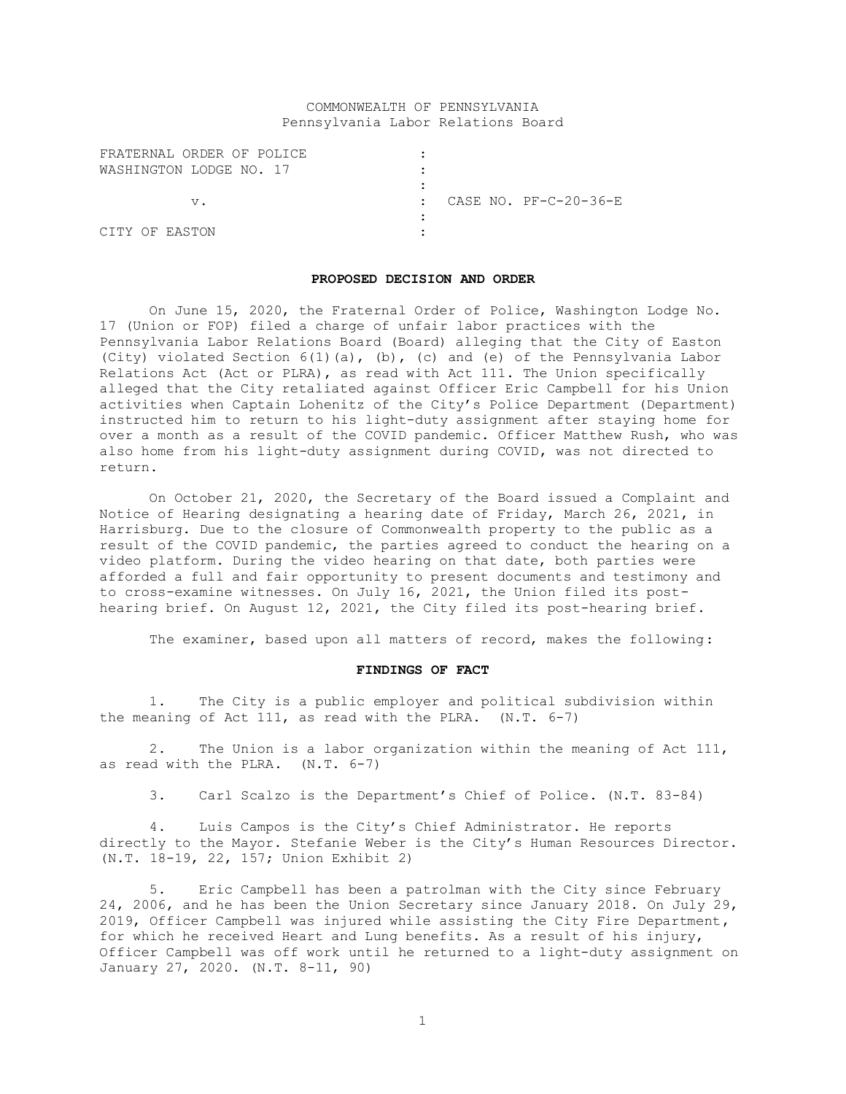# COMMONWEALTH OF PENNSYLVANIA Pennsylvania Labor Relations Board

| FRATERNAL ORDER OF POLICE |  |                       |
|---------------------------|--|-----------------------|
| WASHINGTON LODGE NO. 17   |  |                       |
|                           |  |                       |
| v.                        |  | CASE NO. PF-C-20-36-E |
|                           |  |                       |
| CITY OF EASTON            |  |                       |

### **PROPOSED DECISION AND ORDER**

On June 15, 2020, the Fraternal Order of Police, Washington Lodge No. 17 (Union or FOP) filed a charge of unfair labor practices with the Pennsylvania Labor Relations Board (Board) alleging that the City of Easton (City) violated Section 6(1)(a), (b), (c) and (e) of the Pennsylvania Labor Relations Act (Act or PLRA), as read with Act 111. The Union specifically alleged that the City retaliated against Officer Eric Campbell for his Union activities when Captain Lohenitz of the City's Police Department (Department) instructed him to return to his light-duty assignment after staying home for over a month as a result of the COVID pandemic. Officer Matthew Rush, who was also home from his light-duty assignment during COVID, was not directed to return.

On October 21, 2020, the Secretary of the Board issued a Complaint and Notice of Hearing designating a hearing date of Friday, March 26, 2021, in Harrisburg. Due to the closure of Commonwealth property to the public as a result of the COVID pandemic, the parties agreed to conduct the hearing on a video platform. During the video hearing on that date, both parties were afforded a full and fair opportunity to present documents and testimony and to cross-examine witnesses. On July 16, 2021, the Union filed its posthearing brief. On August 12, 2021, the City filed its post-hearing brief.

The examiner, based upon all matters of record, makes the following:

## **FINDINGS OF FACT**

1. The City is a public employer and political subdivision within the meaning of Act 111, as read with the PLRA. (N.T. 6-7)

2. The Union is a labor organization within the meaning of Act 111, as read with the PLRA. (N.T. 6-7)

3. Carl Scalzo is the Department's Chief of Police. (N.T. 83-84)

4. Luis Campos is the City's Chief Administrator. He reports directly to the Mayor. Stefanie Weber is the City's Human Resources Director. (N.T. 18-19, 22, 157; Union Exhibit 2)

5. Eric Campbell has been a patrolman with the City since February 24, 2006, and he has been the Union Secretary since January 2018. On July 29, 2019, Officer Campbell was injured while assisting the City Fire Department, for which he received Heart and Lung benefits. As a result of his injury, Officer Campbell was off work until he returned to a light-duty assignment on January 27, 2020. (N.T. 8-11, 90)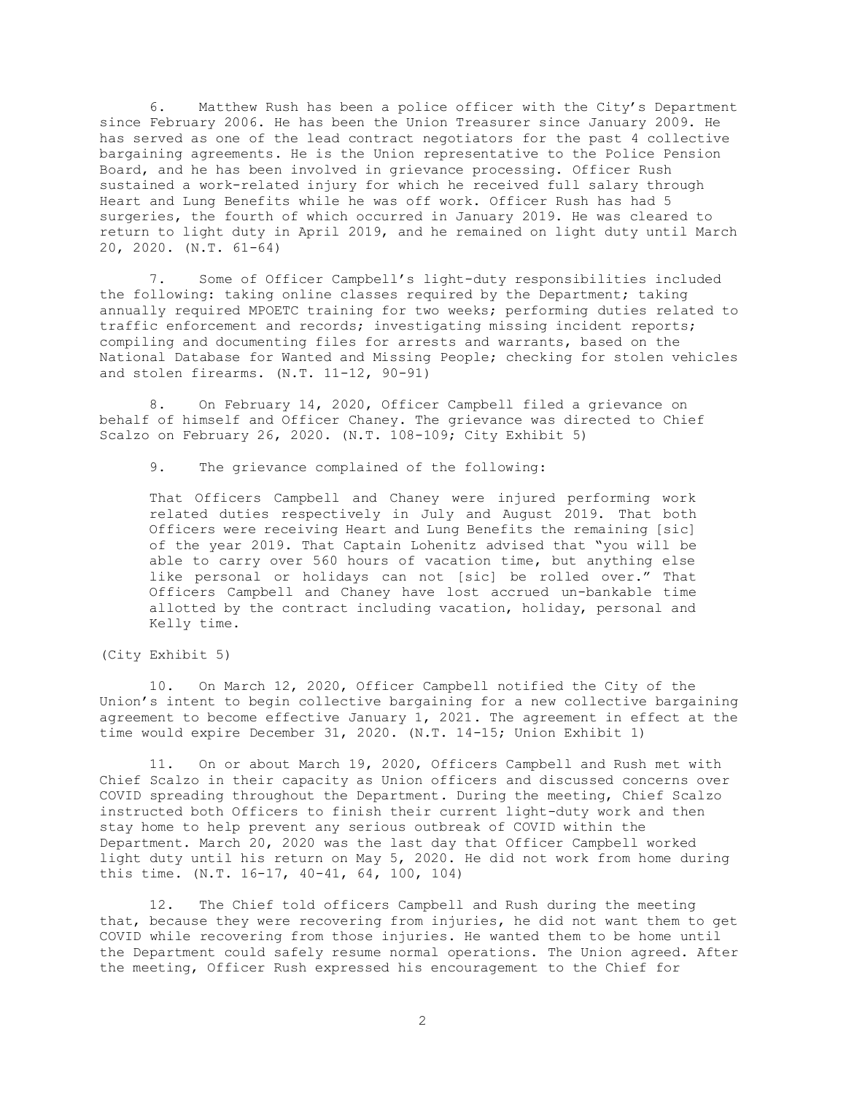6. Matthew Rush has been a police officer with the City's Department since February 2006. He has been the Union Treasurer since January 2009. He has served as one of the lead contract negotiators for the past 4 collective bargaining agreements. He is the Union representative to the Police Pension Board, and he has been involved in grievance processing. Officer Rush sustained a work-related injury for which he received full salary through Heart and Lung Benefits while he was off work. Officer Rush has had 5 surgeries, the fourth of which occurred in January 2019. He was cleared to return to light duty in April 2019, and he remained on light duty until March 20, 2020. (N.T. 61-64)

7. Some of Officer Campbell's light-duty responsibilities included the following: taking online classes required by the Department; taking annually required MPOETC training for two weeks; performing duties related to traffic enforcement and records; investigating missing incident reports; compiling and documenting files for arrests and warrants, based on the National Database for Wanted and Missing People; checking for stolen vehicles and stolen firearms. (N.T. 11-12, 90-91)

8. On February 14, 2020, Officer Campbell filed a grievance on behalf of himself and Officer Chaney. The grievance was directed to Chief Scalzo on February 26, 2020. (N.T. 108-109; City Exhibit 5)

9. The grievance complained of the following:

That Officers Campbell and Chaney were injured performing work related duties respectively in July and August 2019. That both Officers were receiving Heart and Lung Benefits the remaining [sic] of the year 2019. That Captain Lohenitz advised that "you will be able to carry over 560 hours of vacation time, but anything else like personal or holidays can not [sic] be rolled over." That Officers Campbell and Chaney have lost accrued un-bankable time allotted by the contract including vacation, holiday, personal and Kelly time.

(City Exhibit 5)

10. On March 12, 2020, Officer Campbell notified the City of the Union's intent to begin collective bargaining for a new collective bargaining agreement to become effective January 1, 2021. The agreement in effect at the time would expire December 31, 2020. (N.T. 14-15; Union Exhibit 1)

11. On or about March 19, 2020, Officers Campbell and Rush met with Chief Scalzo in their capacity as Union officers and discussed concerns over COVID spreading throughout the Department. During the meeting, Chief Scalzo instructed both Officers to finish their current light-duty work and then stay home to help prevent any serious outbreak of COVID within the Department. March 20, 2020 was the last day that Officer Campbell worked light duty until his return on May 5, 2020. He did not work from home during this time. (N.T. 16-17, 40-41, 64, 100, 104)

12. The Chief told officers Campbell and Rush during the meeting that, because they were recovering from injuries, he did not want them to get COVID while recovering from those injuries. He wanted them to be home until the Department could safely resume normal operations. The Union agreed. After the meeting, Officer Rush expressed his encouragement to the Chief for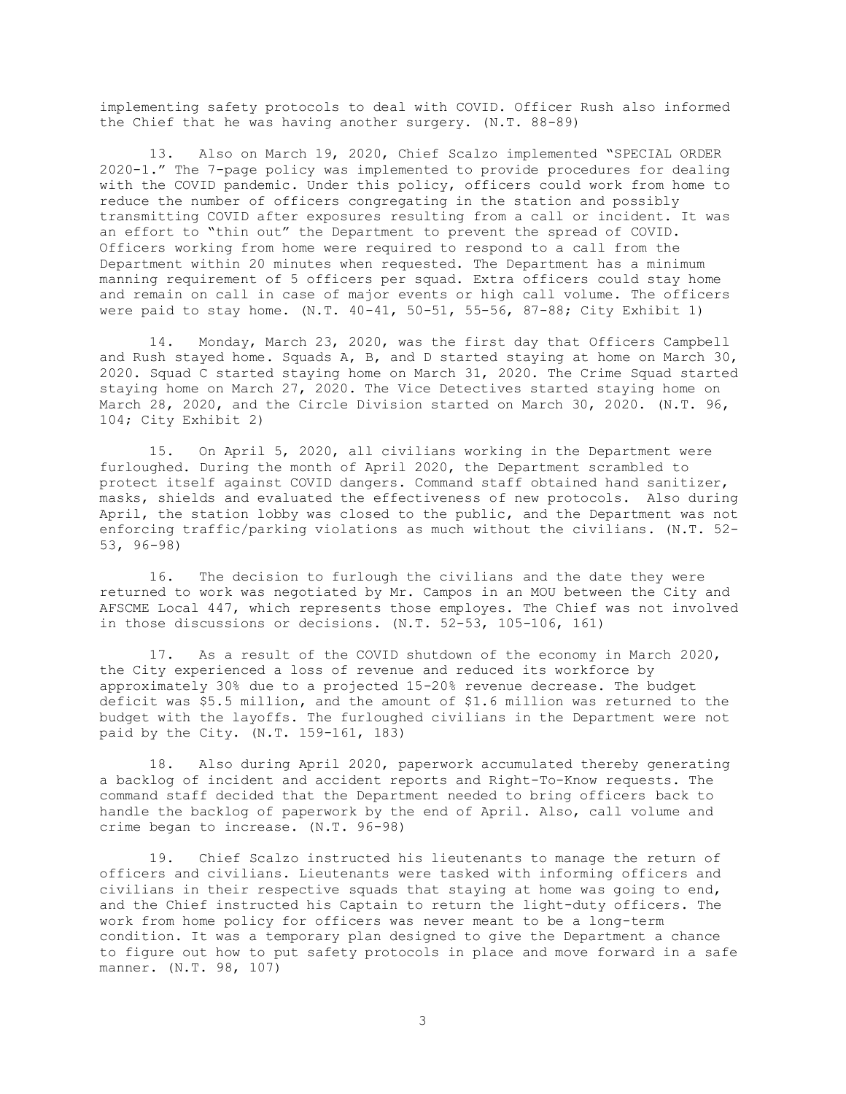implementing safety protocols to deal with COVID. Officer Rush also informed the Chief that he was having another surgery. (N.T. 88-89)

13. Also on March 19, 2020, Chief Scalzo implemented "SPECIAL ORDER 2020-1." The 7-page policy was implemented to provide procedures for dealing with the COVID pandemic. Under this policy, officers could work from home to reduce the number of officers congregating in the station and possibly transmitting COVID after exposures resulting from a call or incident. It was an effort to "thin out" the Department to prevent the spread of COVID. Officers working from home were required to respond to a call from the Department within 20 minutes when requested. The Department has a minimum manning requirement of 5 officers per squad. Extra officers could stay home and remain on call in case of major events or high call volume. The officers were paid to stay home. (N.T. 40-41, 50-51, 55-56, 87-88; City Exhibit 1)

14. Monday, March 23, 2020, was the first day that Officers Campbell and Rush stayed home. Squads A, B, and D started staying at home on March 30, 2020. Squad C started staying home on March 31, 2020. The Crime Squad started staying home on March 27, 2020. The Vice Detectives started staying home on March 28, 2020, and the Circle Division started on March 30, 2020. (N.T. 96, 104; City Exhibit 2)

15. On April 5, 2020, all civilians working in the Department were furloughed. During the month of April 2020, the Department scrambled to protect itself against COVID dangers. Command staff obtained hand sanitizer, masks, shields and evaluated the effectiveness of new protocols. Also during April, the station lobby was closed to the public, and the Department was not enforcing traffic/parking violations as much without the civilians. (N.T. 52- 53, 96-98)

16. The decision to furlough the civilians and the date they were returned to work was negotiated by Mr. Campos in an MOU between the City and AFSCME Local 447, which represents those employes. The Chief was not involved in those discussions or decisions. (N.T. 52-53, 105-106, 161)

17. As a result of the COVID shutdown of the economy in March 2020, the City experienced a loss of revenue and reduced its workforce by approximately 30% due to a projected 15-20% revenue decrease. The budget deficit was \$5.5 million, and the amount of \$1.6 million was returned to the budget with the layoffs. The furloughed civilians in the Department were not paid by the City. (N.T. 159-161, 183)

18. Also during April 2020, paperwork accumulated thereby generating a backlog of incident and accident reports and Right-To-Know requests. The command staff decided that the Department needed to bring officers back to handle the backlog of paperwork by the end of April. Also, call volume and crime began to increase. (N.T. 96-98)

19. Chief Scalzo instructed his lieutenants to manage the return of officers and civilians. Lieutenants were tasked with informing officers and civilians in their respective squads that staying at home was going to end, and the Chief instructed his Captain to return the light-duty officers. The work from home policy for officers was never meant to be a long-term condition. It was a temporary plan designed to give the Department a chance to figure out how to put safety protocols in place and move forward in a safe manner. (N.T. 98, 107)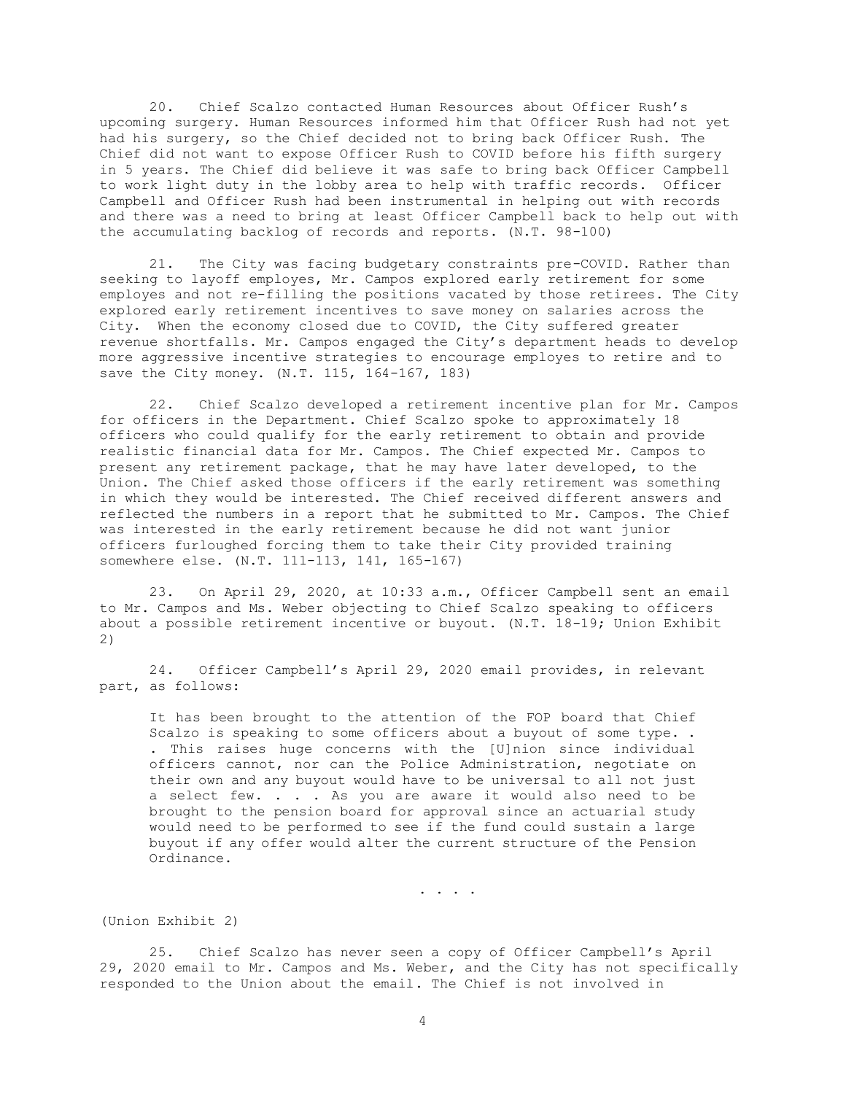20. Chief Scalzo contacted Human Resources about Officer Rush's upcoming surgery. Human Resources informed him that Officer Rush had not yet had his surgery, so the Chief decided not to bring back Officer Rush. The Chief did not want to expose Officer Rush to COVID before his fifth surgery in 5 years. The Chief did believe it was safe to bring back Officer Campbell to work light duty in the lobby area to help with traffic records. Officer Campbell and Officer Rush had been instrumental in helping out with records and there was a need to bring at least Officer Campbell back to help out with the accumulating backlog of records and reports. (N.T. 98-100)

21. The City was facing budgetary constraints pre-COVID. Rather than seeking to layoff employes, Mr. Campos explored early retirement for some employes and not re-filling the positions vacated by those retirees. The City explored early retirement incentives to save money on salaries across the City. When the economy closed due to COVID, the City suffered greater revenue shortfalls. Mr. Campos engaged the City's department heads to develop more aggressive incentive strategies to encourage employes to retire and to save the City money. (N.T. 115, 164-167, 183)

22. Chief Scalzo developed a retirement incentive plan for Mr. Campos for officers in the Department. Chief Scalzo spoke to approximately 18 officers who could qualify for the early retirement to obtain and provide realistic financial data for Mr. Campos. The Chief expected Mr. Campos to present any retirement package, that he may have later developed, to the Union. The Chief asked those officers if the early retirement was something in which they would be interested. The Chief received different answers and reflected the numbers in a report that he submitted to Mr. Campos. The Chief was interested in the early retirement because he did not want junior officers furloughed forcing them to take their City provided training somewhere else. (N.T. 111-113, 141, 165-167)

23. On April 29, 2020, at 10:33 a.m., Officer Campbell sent an email to Mr. Campos and Ms. Weber objecting to Chief Scalzo speaking to officers about a possible retirement incentive or buyout. (N.T. 18-19; Union Exhibit 2)

24. Officer Campbell's April 29, 2020 email provides, in relevant part, as follows:

It has been brought to the attention of the FOP board that Chief Scalzo is speaking to some officers about a buyout of some type. . . This raises huge concerns with the [U]nion since individual officers cannot, nor can the Police Administration, negotiate on their own and any buyout would have to be universal to all not just a select few. . . . As you are aware it would also need to be brought to the pension board for approval since an actuarial study would need to be performed to see if the fund could sustain a large buyout if any offer would alter the current structure of the Pension Ordinance.

. . . .

(Union Exhibit 2)

25. Chief Scalzo has never seen a copy of Officer Campbell's April 29, 2020 email to Mr. Campos and Ms. Weber, and the City has not specifically responded to the Union about the email. The Chief is not involved in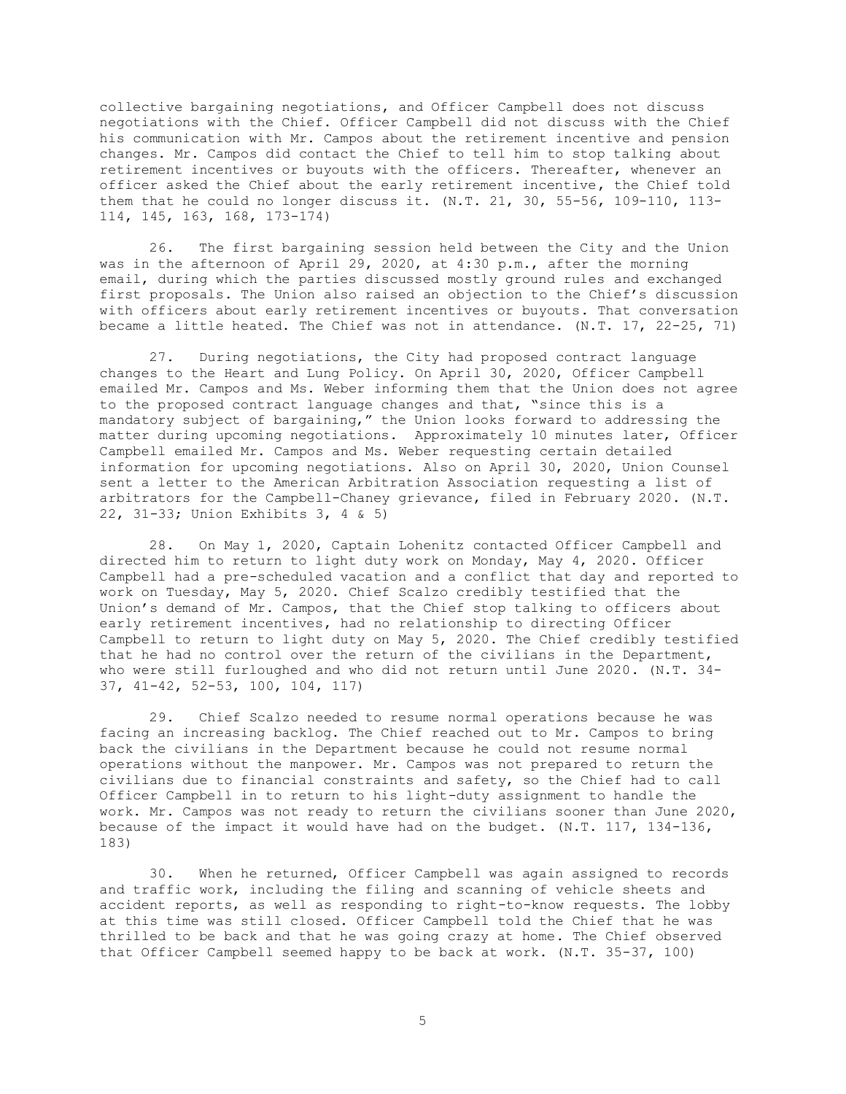collective bargaining negotiations, and Officer Campbell does not discuss negotiations with the Chief. Officer Campbell did not discuss with the Chief his communication with Mr. Campos about the retirement incentive and pension changes. Mr. Campos did contact the Chief to tell him to stop talking about retirement incentives or buyouts with the officers. Thereafter, whenever an officer asked the Chief about the early retirement incentive, the Chief told them that he could no longer discuss it. (N.T. 21, 30, 55-56, 109-110, 113- 114, 145, 163, 168, 173-174)

26. The first bargaining session held between the City and the Union was in the afternoon of April 29, 2020, at 4:30 p.m., after the morning email, during which the parties discussed mostly ground rules and exchanged first proposals. The Union also raised an objection to the Chief's discussion with officers about early retirement incentives or buyouts. That conversation became a little heated. The Chief was not in attendance. (N.T. 17, 22-25, 71)

27. During negotiations, the City had proposed contract language changes to the Heart and Lung Policy. On April 30, 2020, Officer Campbell emailed Mr. Campos and Ms. Weber informing them that the Union does not agree to the proposed contract language changes and that, "since this is a mandatory subject of bargaining," the Union looks forward to addressing the matter during upcoming negotiations. Approximately 10 minutes later, Officer Campbell emailed Mr. Campos and Ms. Weber requesting certain detailed information for upcoming negotiations. Also on April 30, 2020, Union Counsel sent a letter to the American Arbitration Association requesting a list of arbitrators for the Campbell-Chaney grievance, filed in February 2020. (N.T. 22, 31-33; Union Exhibits 3, 4 & 5)

28. On May 1, 2020, Captain Lohenitz contacted Officer Campbell and directed him to return to light duty work on Monday, May 4, 2020. Officer Campbell had a pre-scheduled vacation and a conflict that day and reported to work on Tuesday, May 5, 2020. Chief Scalzo credibly testified that the Union's demand of Mr. Campos, that the Chief stop talking to officers about early retirement incentives, had no relationship to directing Officer Campbell to return to light duty on May 5, 2020. The Chief credibly testified that he had no control over the return of the civilians in the Department, who were still furloughed and who did not return until June 2020. (N.T. 34- 37, 41-42, 52-53, 100, 104, 117)

29. Chief Scalzo needed to resume normal operations because he was facing an increasing backlog. The Chief reached out to Mr. Campos to bring back the civilians in the Department because he could not resume normal operations without the manpower. Mr. Campos was not prepared to return the civilians due to financial constraints and safety, so the Chief had to call Officer Campbell in to return to his light-duty assignment to handle the work. Mr. Campos was not ready to return the civilians sooner than June 2020, because of the impact it would have had on the budget. (N.T. 117, 134-136, 183)

30. When he returned, Officer Campbell was again assigned to records and traffic work, including the filing and scanning of vehicle sheets and accident reports, as well as responding to right-to-know requests. The lobby at this time was still closed. Officer Campbell told the Chief that he was thrilled to be back and that he was going crazy at home. The Chief observed that Officer Campbell seemed happy to be back at work. (N.T. 35-37, 100)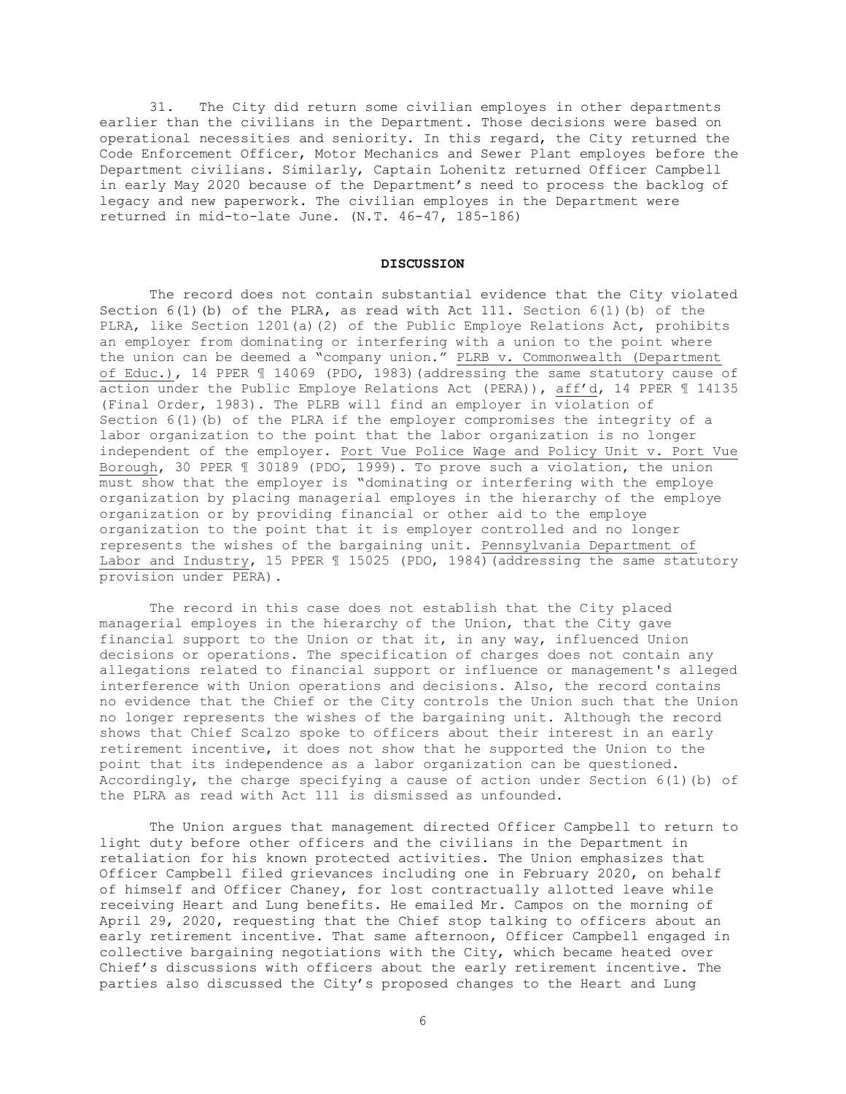31. The City did return some civilian employes in other departments earlier than the civilians in the Department. Those decisions were based on operational necessities and seniority. In this regard, the City returned the Code Enforcement Officer, Motor Mechanics and Sewer Plant employes before the Department civilians. Similarly, Captain Lohenitz returned Officer Campbell in early May 2020 because of the Department's need to process the backlog of legacy and new paperwork. The civilian employes in the Department were returned in mid-to-late June. (N.T. 46-47, 185-186)

#### **DISCUSSION**

The record does not contain substantial evidence that the City violated Section  $6(1)(b)$  of the PLRA, as read with Act 111. Section  $6(1)(b)$  of the PLRA, like Section 1201(a)(2) of the Public Employe Relations Act, prohibits an employer from dominating or interfering with a union to the point where the union can be deemed a "company union." PLRB v. Commonwealth (Department of Educ.), 14 PPER ¶ 14069 (PDO, 1983)(addressing the same statutory cause of action under the Public Employe Relations Act (PERA)), aff'd, 14 PPER ¶ 14135 (Final Order, 1983). The PLRB will find an employer in violation of Section  $6(1)$  (b) of the PLRA if the employer compromises the integrity of a labor organization to the point that the labor organization is no longer independent of the employer. Port Vue Police Wage and Policy Unit v. Port Vue Borough, 30 PPER ¶ 30189 (PDO, 1999). To prove such a violation, the union must show that the employer is "dominating or interfering with the employe organization by placing managerial employes in the hierarchy of the employe organization or by providing financial or other aid to the employe organization to the point that it is employer controlled and no longer represents the wishes of the bargaining unit. Pennsylvania Department of Labor and Industry, 15 PPER 1 15025 (PDO, 1984) (addressing the same statutory provision under PERA).

The record in this case does not establish that the City placed managerial employes in the hierarchy of the Union, that the City gave financial support to the Union or that it, in any way, influenced Union decisions or operations. The specification of charges does not contain any allegations related to financial support or influence or management's alleged interference with Union operations and decisions. Also, the record contains no evidence that the Chief or the City controls the Union such that the Union no longer represents the wishes of the bargaining unit. Although the record shows that Chief Scalzo spoke to officers about their interest in an early retirement incentive, it does not show that he supported the Union to the point that its independence as a labor organization can be questioned. Accordingly, the charge specifying a cause of action under Section  $6(1)(b)$  of the PLRA as read with Act 111 is dismissed as unfounded.

The Union argues that management directed Officer Campbell to return to light duty before other officers and the civilians in the Department in retaliation for his known protected activities. The Union emphasizes that Officer Campbell filed grievances including one in February 2020, on behalf of himself and Officer Chaney, for lost contractually allotted leave while receiving Heart and Lung benefits. He emailed Mr. Campos on the morning of April 29, 2020, requesting that the Chief stop talking to officers about an early retirement incentive. That same afternoon, Officer Campbell engaged in collective bargaining negotiations with the City, which became heated over Chief's discussions with officers about the early retirement incentive. The parties also discussed the City's proposed changes to the Heart and Lung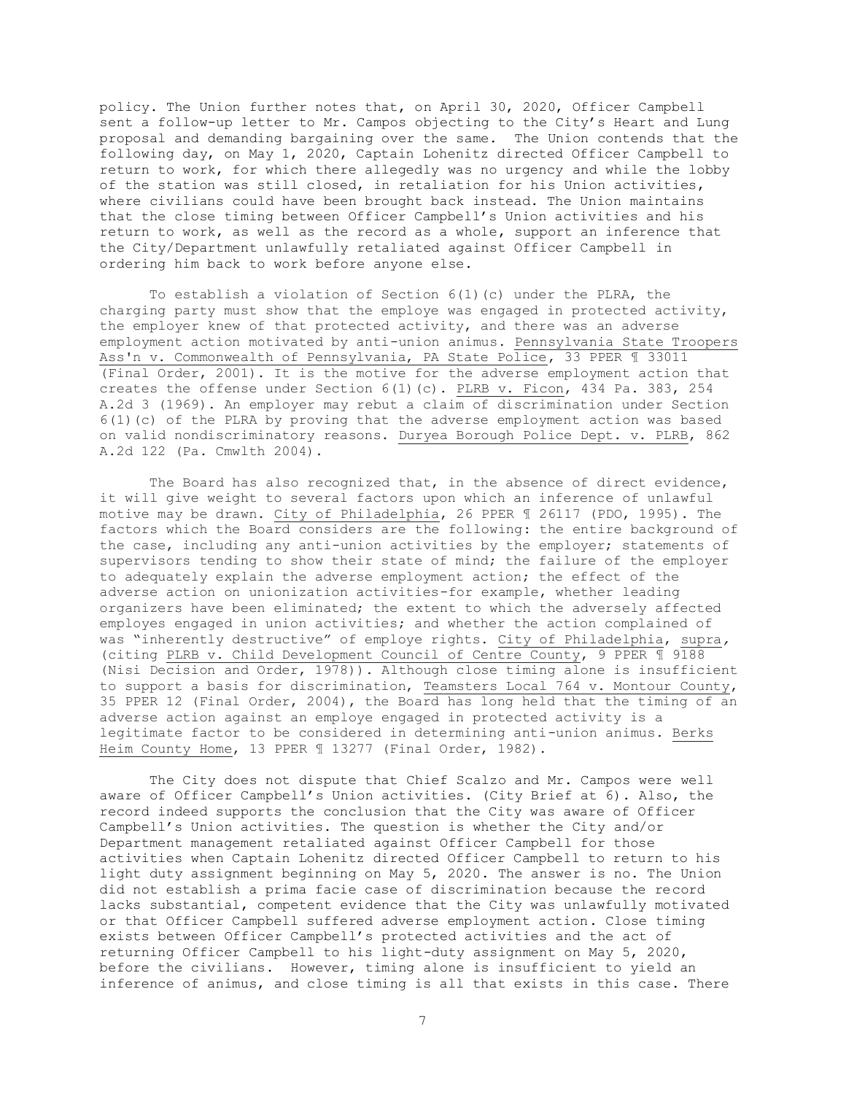policy. The Union further notes that, on April 30, 2020, Officer Campbell sent a follow-up letter to Mr. Campos objecting to the City's Heart and Lung proposal and demanding bargaining over the same. The Union contends that the following day, on May 1, 2020, Captain Lohenitz directed Officer Campbell to return to work, for which there allegedly was no urgency and while the lobby of the station was still closed, in retaliation for his Union activities, where civilians could have been brought back instead. The Union maintains that the close timing between Officer Campbell's Union activities and his return to work, as well as the record as a whole, support an inference that the City/Department unlawfully retaliated against Officer Campbell in ordering him back to work before anyone else.

To establish a violation of Section  $6(1)(c)$  under the PLRA, the charging party must show that the employe was engaged in protected activity, the employer knew of that protected activity, and there was an adverse employment action motivated by anti-union animus. Pennsylvania State Troopers Ass'n v. Commonwealth of Pennsylvania, PA State Police, 33 PPER ¶ 33011 (Final Order, 2001). It is the motive for the adverse employment action that creates the offense under Section 6(1)(c). PLRB v. Ficon, 434 Pa. 383, 254 A.2d 3 (1969). An employer may rebut a claim of discrimination under Section  $6(1)$  (c) of the PLRA by proving that the adverse employment action was based on valid nondiscriminatory reasons. Duryea Borough Police Dept. v. PLRB, 862 A.2d 122 (Pa. Cmwlth 2004).

The Board has also recognized that, in the absence of direct evidence, it will give weight to several factors upon which an inference of unlawful motive may be drawn. City of Philadelphia, 26 PPER ¶ 26117 (PDO, 1995). The factors which the Board considers are the following: the entire background of the case, including any anti-union activities by the employer; statements of supervisors tending to show their state of mind; the failure of the employer to adequately explain the adverse employment action; the effect of the adverse action on unionization activities-for example, whether leading organizers have been eliminated; the extent to which the adversely affected employes engaged in union activities; and whether the action complained of was "inherently destructive" of employe rights. City of Philadelphia, supra*,*  (citing PLRB v. Child Development Council of Centre County, 9 PPER ¶ 9188 (Nisi Decision and Order, 1978)). Although close timing alone is insufficient to support a basis for discrimination, Teamsters Local 764 v. Montour County, 35 PPER 12 (Final Order, 2004), the Board has long held that the timing of an adverse action against an employe engaged in protected activity is a legitimate factor to be considered in determining anti-union animus. Berks Heim County Home, 13 PPER 1 13277 (Final Order, 1982).

The City does not dispute that Chief Scalzo and Mr. Campos were well aware of Officer Campbell's Union activities. (City Brief at 6). Also, the record indeed supports the conclusion that the City was aware of Officer Campbell's Union activities. The question is whether the City and/or Department management retaliated against Officer Campbell for those activities when Captain Lohenitz directed Officer Campbell to return to his light duty assignment beginning on May 5, 2020. The answer is no. The Union did not establish a prima facie case of discrimination because the record lacks substantial, competent evidence that the City was unlawfully motivated or that Officer Campbell suffered adverse employment action. Close timing exists between Officer Campbell's protected activities and the act of returning Officer Campbell to his light-duty assignment on May 5, 2020, before the civilians. However, timing alone is insufficient to yield an inference of animus, and close timing is all that exists in this case. There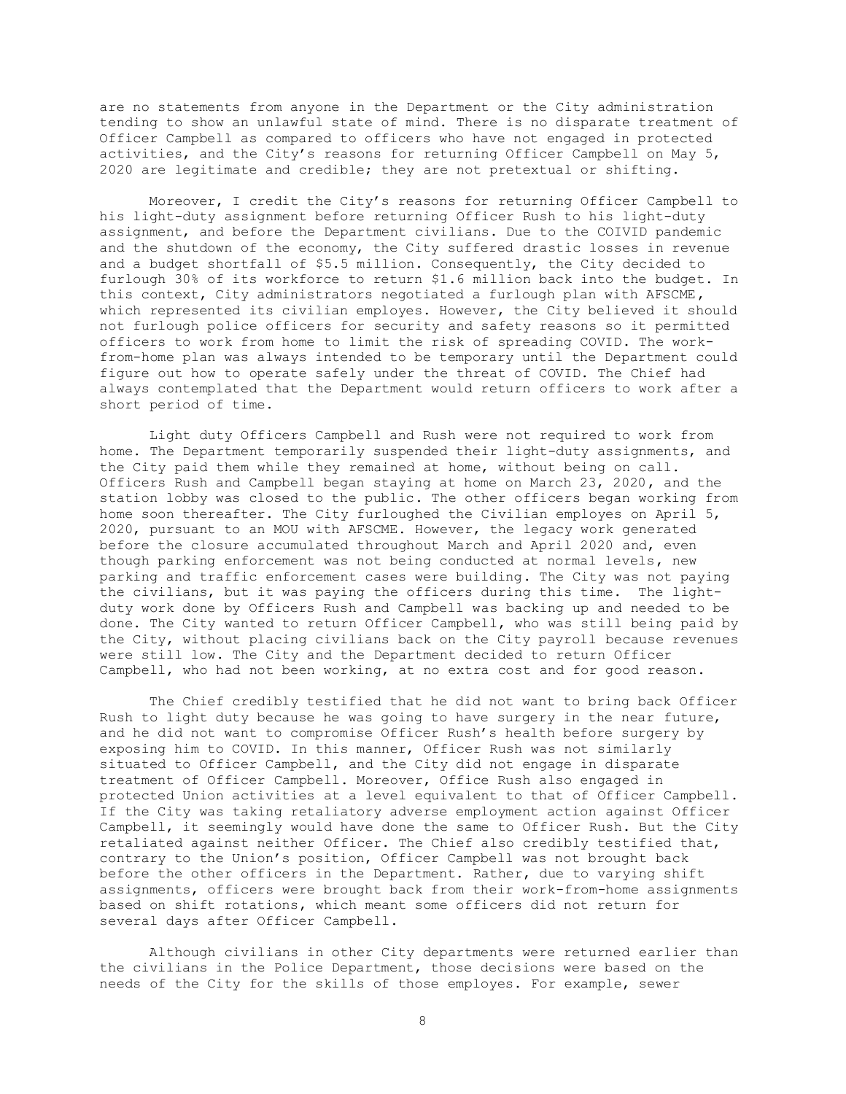are no statements from anyone in the Department or the City administration tending to show an unlawful state of mind. There is no disparate treatment of Officer Campbell as compared to officers who have not engaged in protected activities, and the City's reasons for returning Officer Campbell on May 5, 2020 are legitimate and credible; they are not pretextual or shifting.

Moreover, I credit the City's reasons for returning Officer Campbell to his light-duty assignment before returning Officer Rush to his light-duty assignment, and before the Department civilians. Due to the COIVID pandemic and the shutdown of the economy, the City suffered drastic losses in revenue and a budget shortfall of \$5.5 million. Consequently, the City decided to furlough 30% of its workforce to return \$1.6 million back into the budget. In this context, City administrators negotiated a furlough plan with AFSCME, which represented its civilian employes. However, the City believed it should not furlough police officers for security and safety reasons so it permitted officers to work from home to limit the risk of spreading COVID. The workfrom-home plan was always intended to be temporary until the Department could figure out how to operate safely under the threat of COVID. The Chief had always contemplated that the Department would return officers to work after a short period of time.

Light duty Officers Campbell and Rush were not required to work from home. The Department temporarily suspended their light-duty assignments, and the City paid them while they remained at home, without being on call. Officers Rush and Campbell began staying at home on March 23, 2020, and the station lobby was closed to the public. The other officers began working from home soon thereafter. The City furloughed the Civilian employes on April 5, 2020, pursuant to an MOU with AFSCME. However, the legacy work generated before the closure accumulated throughout March and April 2020 and, even though parking enforcement was not being conducted at normal levels, new parking and traffic enforcement cases were building. The City was not paying the civilians, but it was paying the officers during this time. The lightduty work done by Officers Rush and Campbell was backing up and needed to be done. The City wanted to return Officer Campbell, who was still being paid by the City, without placing civilians back on the City payroll because revenues were still low. The City and the Department decided to return Officer Campbell, who had not been working, at no extra cost and for good reason.

The Chief credibly testified that he did not want to bring back Officer Rush to light duty because he was going to have surgery in the near future, and he did not want to compromise Officer Rush's health before surgery by exposing him to COVID. In this manner, Officer Rush was not similarly situated to Officer Campbell, and the City did not engage in disparate treatment of Officer Campbell. Moreover, Office Rush also engaged in protected Union activities at a level equivalent to that of Officer Campbell. If the City was taking retaliatory adverse employment action against Officer Campbell, it seemingly would have done the same to Officer Rush. But the City retaliated against neither Officer. The Chief also credibly testified that, contrary to the Union's position, Officer Campbell was not brought back before the other officers in the Department. Rather, due to varying shift assignments, officers were brought back from their work-from-home assignments based on shift rotations, which meant some officers did not return for several days after Officer Campbell.

Although civilians in other City departments were returned earlier than the civilians in the Police Department, those decisions were based on the needs of the City for the skills of those employes. For example, sewer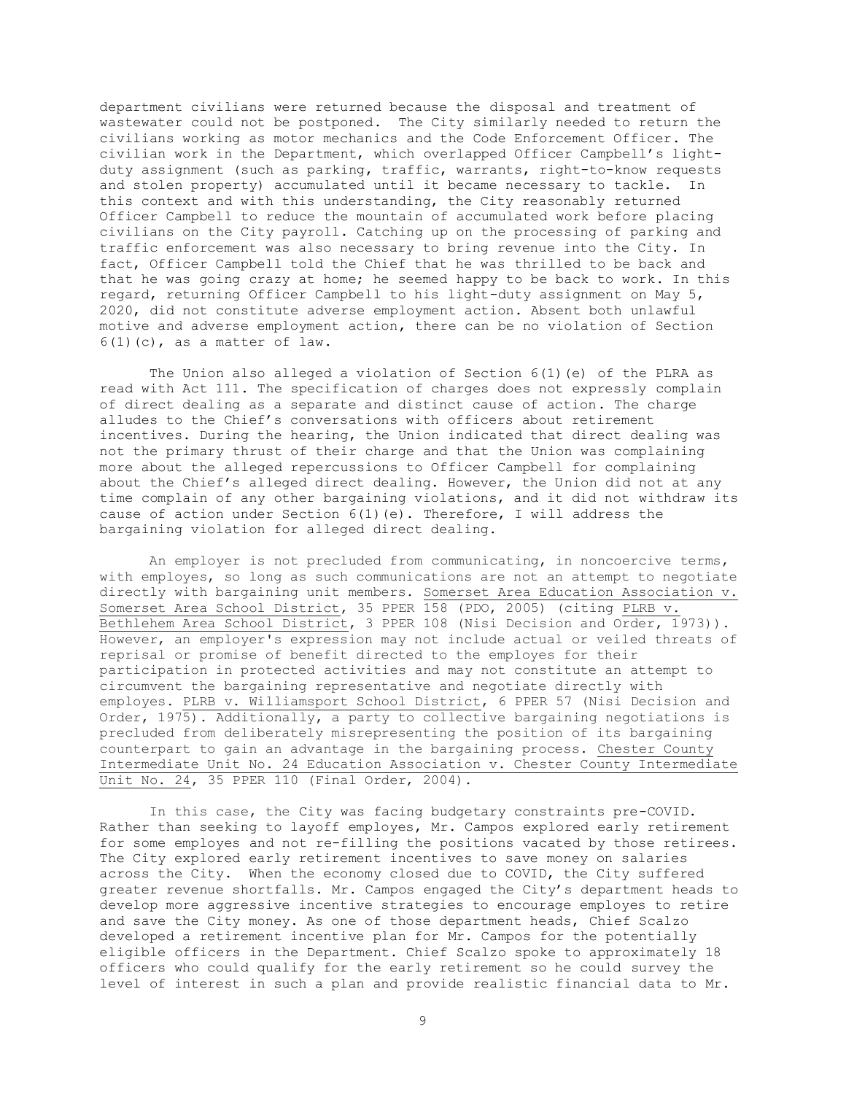department civilians were returned because the disposal and treatment of wastewater could not be postponed. The City similarly needed to return the civilians working as motor mechanics and the Code Enforcement Officer. The civilian work in the Department, which overlapped Officer Campbell's lightduty assignment (such as parking, traffic, warrants, right-to-know requests and stolen property) accumulated until it became necessary to tackle. In this context and with this understanding, the City reasonably returned Officer Campbell to reduce the mountain of accumulated work before placing civilians on the City payroll. Catching up on the processing of parking and traffic enforcement was also necessary to bring revenue into the City. In fact, Officer Campbell told the Chief that he was thrilled to be back and that he was going crazy at home; he seemed happy to be back to work. In this regard, returning Officer Campbell to his light-duty assignment on May 5, 2020, did not constitute adverse employment action. Absent both unlawful motive and adverse employment action, there can be no violation of Section  $6(1)(c)$ , as a matter of law.

The Union also alleged a violation of Section  $6(1)$  (e) of the PLRA as read with Act 111. The specification of charges does not expressly complain of direct dealing as a separate and distinct cause of action. The charge alludes to the Chief's conversations with officers about retirement incentives. During the hearing, the Union indicated that direct dealing was not the primary thrust of their charge and that the Union was complaining more about the alleged repercussions to Officer Campbell for complaining about the Chief's alleged direct dealing. However, the Union did not at any time complain of any other bargaining violations, and it did not withdraw its cause of action under Section  $6(1)(e)$ . Therefore, I will address the bargaining violation for alleged direct dealing.

An employer is not precluded from communicating, in noncoercive terms, with employes, so long as such communications are not an attempt to negotiate directly with bargaining unit members. Somerset Area Education Association v. Somerset Area School District, 35 PPER 158 (PDO, 2005) (citing PLRB v. Bethlehem Area School District, 3 PPER 108 (Nisi Decision and Order, 1973)). However, an employer's expression may not include actual or veiled threats of reprisal or promise of benefit directed to the employes for their participation in protected activities and may not constitute an attempt to circumvent the bargaining representative and negotiate directly with employes. PLRB v. Williamsport School District, 6 PPER 57 (Nisi Decision and Order, 1975). Additionally, a party to collective bargaining negotiations is precluded from deliberately misrepresenting the position of its bargaining counterpart to gain an advantage in the bargaining process. Chester County Intermediate Unit No. 24 Education Association v. Chester County Intermediate Unit No. 24, 35 PPER 110 (Final Order, 2004).

In this case, the City was facing budgetary constraints pre-COVID. Rather than seeking to layoff employes, Mr. Campos explored early retirement for some employes and not re-filling the positions vacated by those retirees. The City explored early retirement incentives to save money on salaries across the City. When the economy closed due to COVID, the City suffered greater revenue shortfalls. Mr. Campos engaged the City's department heads to develop more aggressive incentive strategies to encourage employes to retire and save the City money. As one of those department heads, Chief Scalzo developed a retirement incentive plan for Mr. Campos for the potentially eligible officers in the Department. Chief Scalzo spoke to approximately 18 officers who could qualify for the early retirement so he could survey the level of interest in such a plan and provide realistic financial data to Mr.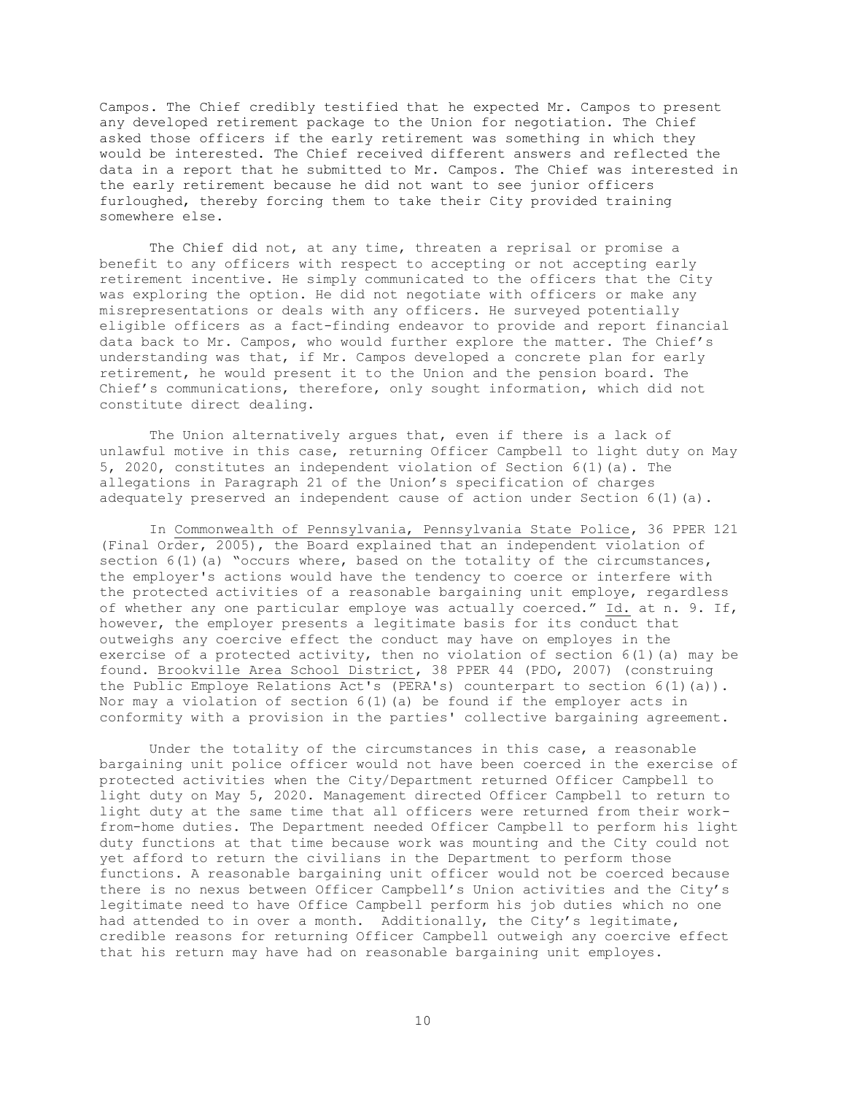Campos. The Chief credibly testified that he expected Mr. Campos to present any developed retirement package to the Union for negotiation. The Chief asked those officers if the early retirement was something in which they would be interested. The Chief received different answers and reflected the data in a report that he submitted to Mr. Campos. The Chief was interested in the early retirement because he did not want to see junior officers furloughed, thereby forcing them to take their City provided training somewhere else.

The Chief did not, at any time, threaten a reprisal or promise a benefit to any officers with respect to accepting or not accepting early retirement incentive. He simply communicated to the officers that the City was exploring the option. He did not negotiate with officers or make any misrepresentations or deals with any officers. He surveyed potentially eligible officers as a fact-finding endeavor to provide and report financial data back to Mr. Campos, who would further explore the matter. The Chief's understanding was that, if Mr. Campos developed a concrete plan for early retirement, he would present it to the Union and the pension board. The Chief's communications, therefore, only sought information, which did not constitute direct dealing.

The Union alternatively argues that, even if there is a lack of unlawful motive in this case, returning Officer Campbell to light duty on May 5, 2020, constitutes an independent violation of Section 6(1)(a). The allegations in Paragraph 21 of the Union's specification of charges adequately preserved an independent cause of action under Section  $6(1)(a)$ .

In Commonwealth of Pennsylvania, Pennsylvania State Police, 36 PPER 121 (Final Order, 2005), the Board explained that an independent violation of section  $6(1)(a)$  "occurs where, based on the totality of the circumstances, the employer's actions would have the tendency to coerce or interfere with the protected activities of a reasonable bargaining unit employe, regardless of whether any one particular employe was actually coerced." Id. at n. 9. If, however, the employer presents a legitimate basis for its conduct that outweighs any coercive effect the conduct may have on employes in the exercise of a protected activity, then no violation of section  $6(1)(a)$  may be found. Brookville Area School District, 38 PPER 44 (PDO, 2007) (construing the Public Employe Relations Act's (PERA's) counterpart to section 6(1)(a)). Nor may a violation of section  $6(1)(a)$  be found if the employer acts in conformity with a provision in the parties' collective bargaining agreement.

Under the totality of the circumstances in this case, a reasonable bargaining unit police officer would not have been coerced in the exercise of protected activities when the City/Department returned Officer Campbell to light duty on May 5, 2020. Management directed Officer Campbell to return to light duty at the same time that all officers were returned from their workfrom-home duties. The Department needed Officer Campbell to perform his light duty functions at that time because work was mounting and the City could not yet afford to return the civilians in the Department to perform those functions. A reasonable bargaining unit officer would not be coerced because there is no nexus between Officer Campbell's Union activities and the City's legitimate need to have Office Campbell perform his job duties which no one had attended to in over a month. Additionally, the City's legitimate, credible reasons for returning Officer Campbell outweigh any coercive effect that his return may have had on reasonable bargaining unit employes.